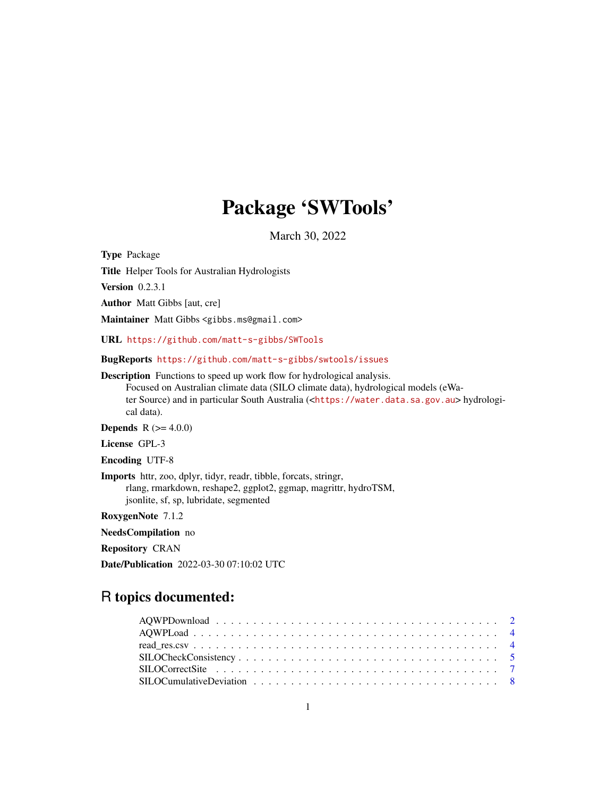# Package 'SWTools'

March 30, 2022

<span id="page-0-0"></span>Type Package

Title Helper Tools for Australian Hydrologists

Version 0.2.3.1

Author Matt Gibbs [aut, cre]

Maintainer Matt Gibbs <gibbs.ms@gmail.com>

URL <https://github.com/matt-s-gibbs/SWTools>

BugReports <https://github.com/matt-s-gibbs/swtools/issues>

Description Functions to speed up work flow for hydrological analysis. Focused on Australian climate data (SILO climate data), hydrological models (eWater Source) and in particular South Australia (<<https://water.data.sa.gov.au>> hydrologi-

cal data). **Depends**  $R (= 4.0.0)$ 

License GPL-3

Encoding UTF-8

Imports httr, zoo, dplyr, tidyr, readr, tibble, forcats, stringr, rlang, rmarkdown, reshape2, ggplot2, ggmap, magrittr, hydroTSM, jsonlite, sf, sp, lubridate, segmented

RoxygenNote 7.1.2

NeedsCompilation no

Repository CRAN

Date/Publication 2022-03-30 07:10:02 UTC

# R topics documented: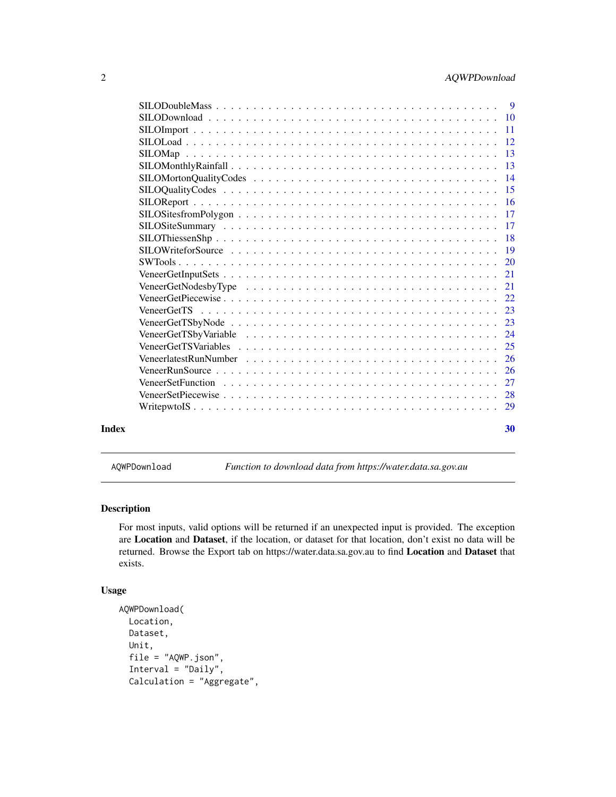<span id="page-1-0"></span>

|       | $\overline{13}$ |
|-------|-----------------|
|       |                 |
|       |                 |
|       |                 |
|       |                 |
|       |                 |
|       |                 |
|       |                 |
|       |                 |
|       |                 |
|       |                 |
|       |                 |
|       |                 |
|       |                 |
|       |                 |
|       |                 |
|       |                 |
|       |                 |
|       | 27              |
|       |                 |
|       |                 |
|       |                 |
| Index | 30              |

<span id="page-1-1"></span>AQWPDownload *Function to download data from https://water.data.sa.gov.au*

#### Description

For most inputs, valid options will be returned if an unexpected input is provided. The exception are Location and Dataset, if the location, or dataset for that location, don't exist no data will be returned. Browse the Export tab on https://water.data.sa.gov.au to find Location and Dataset that exists.

```
AQWPDownload(
 Location,
 Dataset,
 Unit,
  file = "AQWP.json",
  Interval = "Daily",
 Calculation = "Aggregate",
```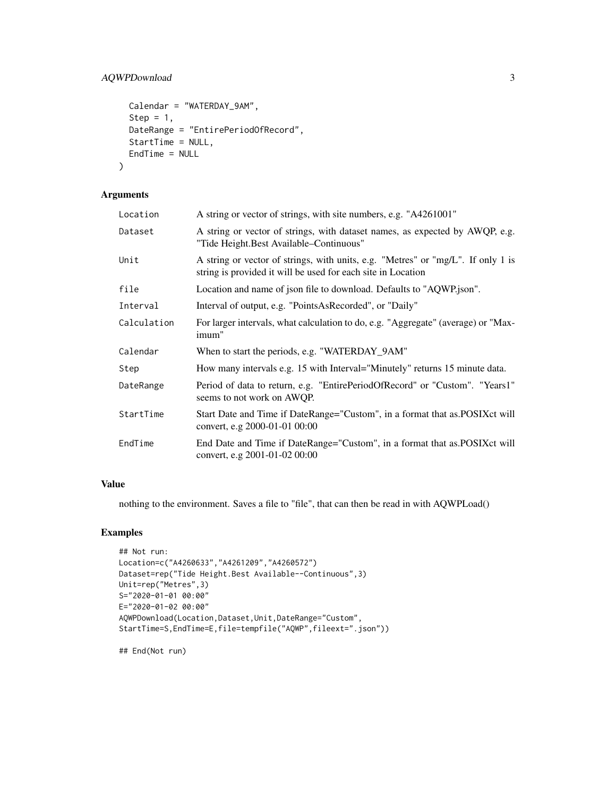```
Calendar = "WATERDAY_9AM",
  Step = 1,
 DateRange = "EntirePeriodOfRecord",
  StartTime = NULL,
 EndTime = NULL
\mathcal{L}
```
# Arguments

| Location    | A string or vector of strings, with site numbers, e.g. "A4261001"                                                                                |
|-------------|--------------------------------------------------------------------------------------------------------------------------------------------------|
| Dataset     | A string or vector of strings, with dataset names, as expected by AWQP, e.g.<br>"Tide Height. Best Available–Continuous"                         |
| Unit        | A string or vector of strings, with units, e.g. "Metres" or "mg/L". If only 1 is<br>string is provided it will be used for each site in Location |
| file        | Location and name of json file to download. Defaults to "AQWP.json".                                                                             |
| Interval    | Interval of output, e.g. "PointsAsRecorded", or "Daily"                                                                                          |
| Calculation | For larger intervals, what calculation to do, e.g. "Aggregate" (average) or "Max-<br>imum"                                                       |
| Calendar    | When to start the periods, e.g. "WATERDAY_9AM"                                                                                                   |
| Step        | How many intervals e.g. 15 with Interval="Minutely" returns 15 minute data.                                                                      |
| DateRange   | Period of data to return, e.g. "EntirePeriodOfRecord" or "Custom". "Years1"<br>seems to not work on AWQP.                                        |
| StartTime   | Start Date and Time if DateRange="Custom", in a format that as. POSIX ct will<br>convert, e.g 2000-01-01 00:00                                   |
| EndTime     | End Date and Time if DateRange="Custom", in a format that as.POSIXct will<br>convert, e.g 2001-01-02 00:00                                       |

#### Value

nothing to the environment. Saves a file to "file", that can then be read in with AQWPLoad()

### Examples

```
## Not run:
Location=c("A4260633","A4261209","A4260572")
Dataset=rep("Tide Height.Best Available--Continuous",3)
Unit=rep("Metres",3)
S="2020-01-01 00:00"
E="2020-01-02 00:00"
AQWPDownload(Location,Dataset,Unit,DateRange="Custom",
StartTime=S,EndTime=E,file=tempfile("AQWP",fileext=".json"))
```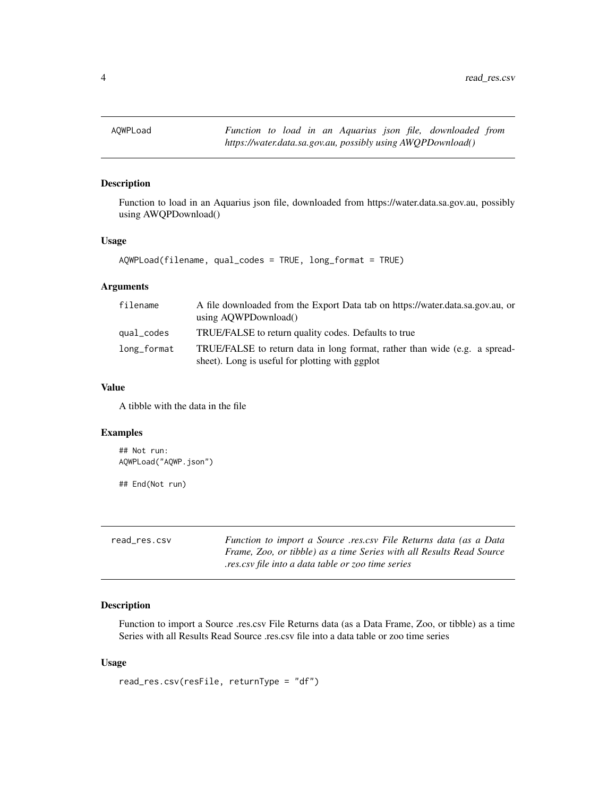<span id="page-3-2"></span><span id="page-3-0"></span>

### Description

Function to load in an Aquarius json file, downloaded from https://water.data.sa.gov.au, possibly using AWQPDownload()

#### Usage

```
AQWPLoad(filename, qual_codes = TRUE, long_format = TRUE)
```
#### Arguments

| filename    | A file downloaded from the Export Data tab on https://water.data.sa.gov.au, or<br>using AOWPDownload()                        |
|-------------|-------------------------------------------------------------------------------------------------------------------------------|
| qual_codes  | TRUE/FALSE to return quality codes. Defaults to true                                                                          |
| long_format | TRUE/FALSE to return data in long format, rather than wide (e.g. a spread-<br>sheet). Long is useful for plotting with ggplot |

#### Value

A tibble with the data in the file

#### Examples

```
## Not run:
AQWPLoad("AQWP.json")
```
## End(Not run)

<span id="page-3-1"></span>

| read res.csv | Function to import a Source res.csy File Returns data (as a Data     |
|--------------|----------------------------------------------------------------------|
|              | Frame, Zoo, or tibble) as a time Series with all Results Read Source |
|              | res.csy file into a data table or zoo time series.                   |

#### Description

Function to import a Source .res.csv File Returns data (as a Data Frame, Zoo, or tibble) as a time Series with all Results Read Source .res.csv file into a data table or zoo time series

```
read_res.csv(resFile, returnType = "df")
```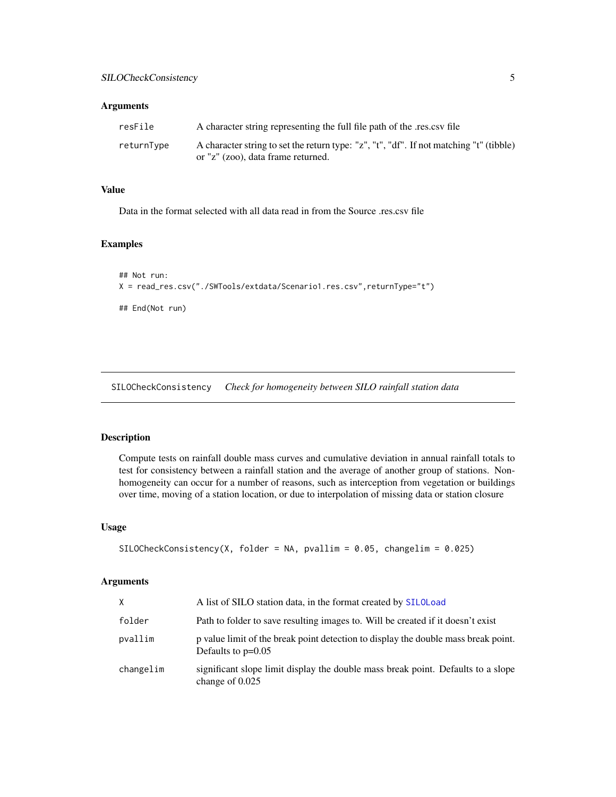#### <span id="page-4-0"></span>Arguments

| resFile    | A character string representing the full file path of the res.csv file                  |
|------------|-----------------------------------------------------------------------------------------|
| returnTvpe | A character string to set the return type: "z", "t", "df". If not matching "t" (tibble) |
|            | or "z" (zoo), data frame returned.                                                      |

#### Value

Data in the format selected with all data read in from the Source .res.csv file

#### Examples

```
## Not run:
X = read_res.csv("./SWTools/extdata/Scenario1.res.csv",returnType="t")
## End(Not run)
```
<span id="page-4-1"></span>SILOCheckConsistency *Check for homogeneity between SILO rainfall station data*

#### Description

Compute tests on rainfall double mass curves and cumulative deviation in annual rainfall totals to test for consistency between a rainfall station and the average of another group of stations. Nonhomogeneity can occur for a number of reasons, such as interception from vegetation or buildings over time, moving of a station location, or due to interpolation of missing data or station closure

#### Usage

```
SILOCheckConsistency(X, folder = NA, pvallim = 0.05, changelim = 0.025)
```
#### Arguments

| X.        | A list of SILO station data, in the format created by SILOLoad                                             |
|-----------|------------------------------------------------------------------------------------------------------------|
| folder    | Path to folder to save resulting images to. Will be created if it doesn't exist                            |
| pvallim   | p value limit of the break point detection to display the double mass break point.<br>Defaults to $p=0.05$ |
| changelim | significant slope limit display the double mass break point. Defaults to a slope<br>change of $0.025$      |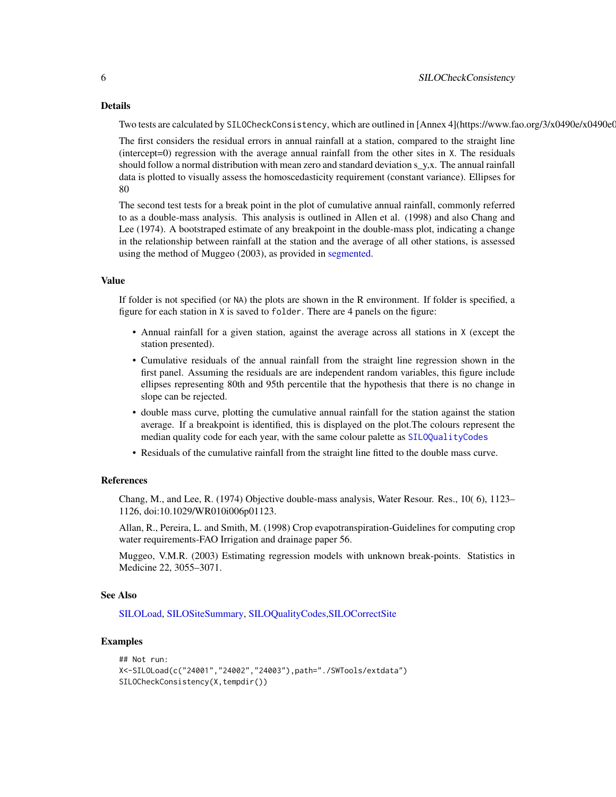#### Details

Two tests are calculated by SILOCheckConsistency, which are outlined in [Annex 4](https://www.fao.org/3/x0490e/x0490e0

The first considers the residual errors in annual rainfall at a station, compared to the straight line (intercept=0) regression with the average annual rainfall from the other sites in X. The residuals should follow a normal distribution with mean zero and standard deviation s\_y,x. The annual rainfall data is plotted to visually assess the homoscedasticity requirement (constant variance). Ellipses for 80

The second test tests for a break point in the plot of cumulative annual rainfall, commonly referred to as a double-mass analysis. This analysis is outlined in Allen et al. (1998) and also Chang and Lee (1974). A bootstraped estimate of any breakpoint in the double-mass plot, indicating a change in the relationship between rainfall at the station and the average of all other stations, is assessed using the method of Muggeo (2003), as provided in [segmented.](#page-0-0)

#### Value

If folder is not specified (or NA) the plots are shown in the R environment. If folder is specified, a figure for each station in X is saved to folder. There are 4 panels on the figure:

- Annual rainfall for a given station, against the average across all stations in X (except the station presented).
- Cumulative residuals of the annual rainfall from the straight line regression shown in the first panel. Assuming the residuals are are independent random variables, this figure include ellipses representing 80th and 95th percentile that the hypothesis that there is no change in slope can be rejected.
- double mass curve, plotting the cumulative annual rainfall for the station against the station average. If a breakpoint is identified, this is displayed on the plot.The colours represent the median quality code for each year, with the same colour palette as [SILOQualityCodes](#page-14-1)
- Residuals of the cumulative rainfall from the straight line fitted to the double mass curve.

#### References

Chang, M., and Lee, R. (1974) Objective double-mass analysis, Water Resour. Res., 10( 6), 1123– 1126, doi:10.1029/WR010i006p01123.

Allan, R., Pereira, L. and Smith, M. (1998) Crop evapotranspiration-Guidelines for computing crop water requirements-FAO Irrigation and drainage paper 56.

Muggeo, V.M.R. (2003) Estimating regression models with unknown break-points. Statistics in Medicine 22, 3055–3071.

#### See Also

[SILOLoad,](#page-11-1) [SILOSiteSummary,](#page-16-1) [SILOQualityCodes,](#page-14-1)[SILOCorrectSite](#page-6-1)

#### Examples

```
## Not run:
X<-SILOLoad(c("24001","24002","24003"),path="./SWTools/extdata")
SILOCheckConsistency(X,tempdir())
```
<span id="page-5-0"></span>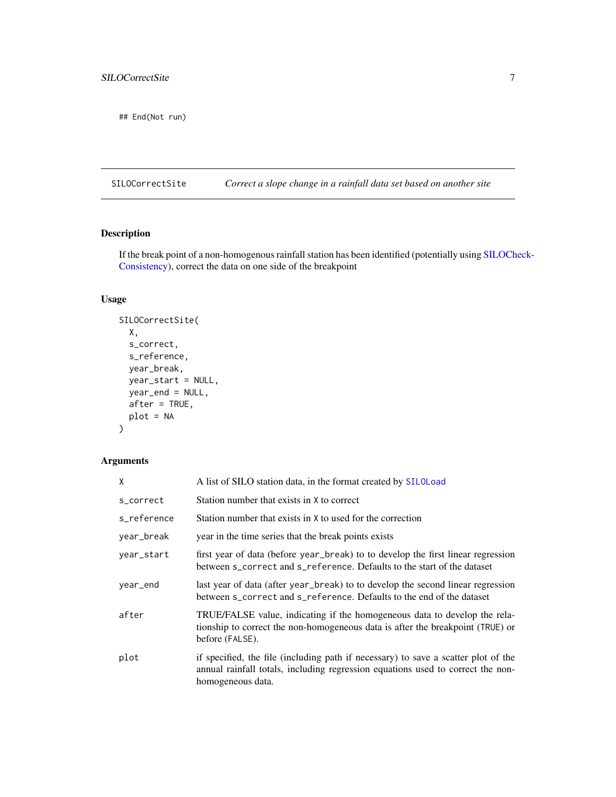<span id="page-6-0"></span>## End(Not run)

<span id="page-6-1"></span>SILOCorrectSite *Correct a slope change in a rainfall data set based on another site*

#### Description

If the break point of a non-homogenous rainfall station has been identified (potentially using [SILOCh](#page-4-1)eck-[Consistency\)](#page-4-1), correct the data on one side of the breakpoint

# Usage

```
SILOCorrectSite(
  X,
  s_correct,
  s_reference,
 year_break,
 year_start = NULL,
 year_end = NULL,
 after = TRUE,
 plot = NA
```

```
\mathcal{L}
```
## Arguments

| Χ           | A list of SILO station data, in the format created by SILOLoad                                                                                                                             |
|-------------|--------------------------------------------------------------------------------------------------------------------------------------------------------------------------------------------|
| s_correct   | Station number that exists in X to correct                                                                                                                                                 |
| s_reference | Station number that exists in X to used for the correction                                                                                                                                 |
| year_break  | year in the time series that the break points exists                                                                                                                                       |
| year_start  | first year of data (before year_break) to to develop the first linear regression<br>between s_correct and s_reference. Defaults to the start of the dataset                                |
| year_end    | last year of data (after year_break) to to develop the second linear regression<br>between s_correct and s_reference. Defaults to the end of the dataset                                   |
| after       | TRUE/FALSE value, indicating if the homogeneous data to develop the rela-<br>tionship to correct the non-homogeneous data is after the breakpoint (TRUE) or<br>before (FALSE).             |
| plot        | if specified, the file (including path if necessary) to save a scatter plot of the<br>annual rainfall totals, including regression equations used to correct the non-<br>homogeneous data. |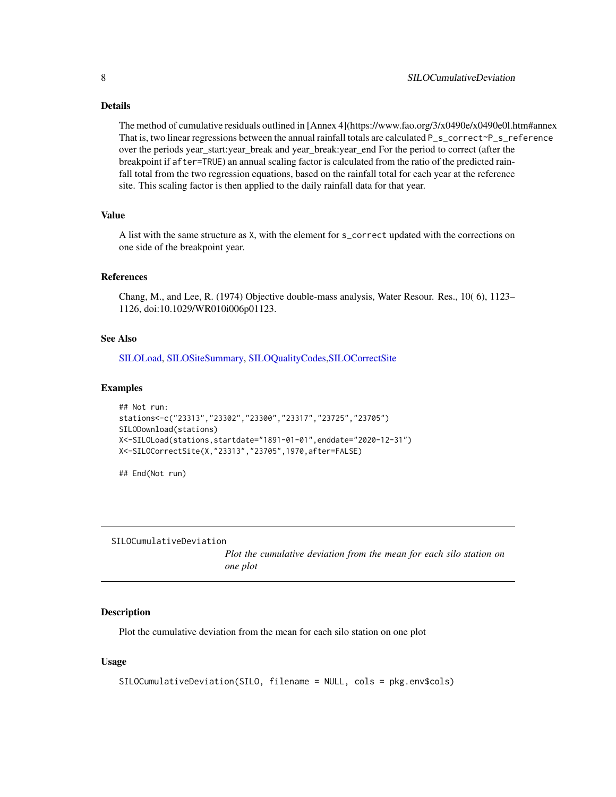#### <span id="page-7-0"></span>Details

The method of cumulative residuals outlined in [Annex 4](https://www.fao.org/3/x0490e/x0490e0l.htm#annex That is, two linear regressions between the annual rainfall totals are calculated P\_s\_correct~P\_s\_reference over the periods year\_start:year\_break and year\_break:year\_end For the period to correct (after the breakpoint if after=TRUE) an annual scaling factor is calculated from the ratio of the predicted rainfall total from the two regression equations, based on the rainfall total for each year at the reference site. This scaling factor is then applied to the daily rainfall data for that year.

#### Value

A list with the same structure as X, with the element for s\_correct updated with the corrections on one side of the breakpoint year.

#### References

Chang, M., and Lee, R. (1974) Objective double-mass analysis, Water Resour. Res., 10( 6), 1123– 1126, doi:10.1029/WR010i006p01123.

#### See Also

[SILOLoad,](#page-11-1) [SILOSiteSummary,](#page-16-1) [SILOQualityCodes,](#page-14-1)[SILOCorrectSite](#page-6-1)

#### Examples

```
## Not run:
stations<-c("23313","23302","23300","23317","23725","23705")
SILODownload(stations)
X<-SILOLoad(stations,startdate="1891-01-01",enddate="2020-12-31")
X<-SILOCorrectSite(X,"23313","23705",1970,after=FALSE)
```
## End(Not run)

SILOCumulativeDeviation

*Plot the cumulative deviation from the mean for each silo station on one plot*

#### Description

Plot the cumulative deviation from the mean for each silo station on one plot

```
SILOCumulativeDeviation(SILO, filename = NULL, cols = pkg.env$cols)
```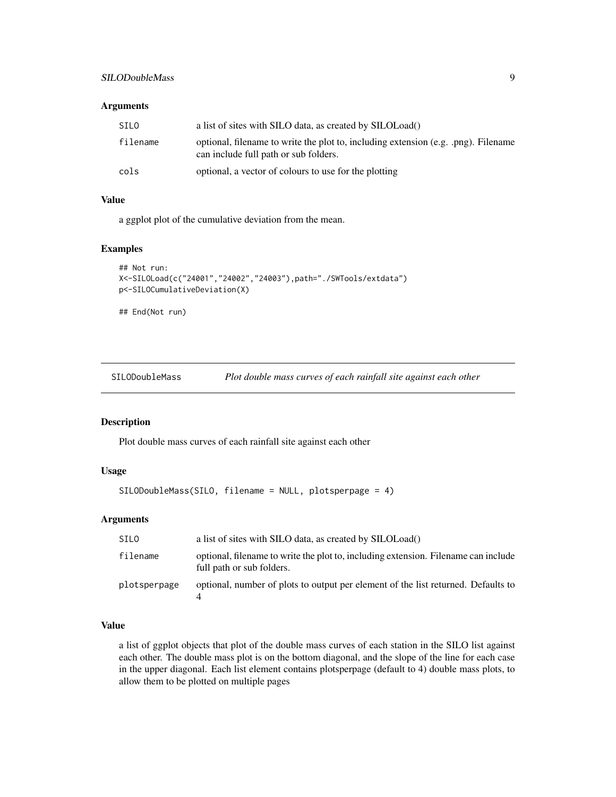#### <span id="page-8-0"></span>SILODoubleMass 9

#### Arguments

| <b>SILO</b> | a list of sites with SILO data, as created by SILOLoad()                                                                    |
|-------------|-----------------------------------------------------------------------------------------------------------------------------|
| filename    | optional, filename to write the plot to, including extension (e.g. .png). Filename<br>can include full path or sub folders. |
| cols        | optional, a vector of colours to use for the plotting                                                                       |

#### Value

a ggplot plot of the cumulative deviation from the mean.

#### Examples

```
## Not run:
X<-SILOLoad(c("24001","24002","24003"),path="./SWTools/extdata")
p<-SILOCumulativeDeviation(X)
## End(Not run)
```
SILODoubleMass *Plot double mass curves of each rainfall site against each other*

## Description

Plot double mass curves of each rainfall site against each other

### Usage

```
SILODoubleMass(SILO, filename = NULL, plotsperpage = 4)
```
#### Arguments

| SILO         | a list of sites with SILO data, as created by SILOLoad()                                                        |
|--------------|-----------------------------------------------------------------------------------------------------------------|
| filename     | optional, filename to write the plot to, including extension. Filename can include<br>full path or sub folders. |
| plotsperpage | optional, number of plots to output per element of the list returned. Defaults to                               |

# Value

a list of ggplot objects that plot of the double mass curves of each station in the SILO list against each other. The double mass plot is on the bottom diagonal, and the slope of the line for each case in the upper diagonal. Each list element contains plotsperpage (default to 4) double mass plots, to allow them to be plotted on multiple pages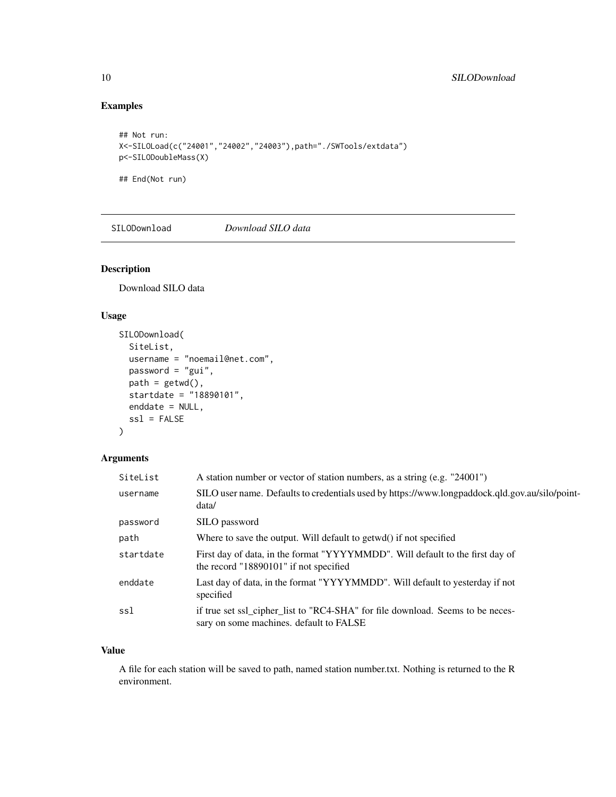# Examples

```
## Not run:
X<-SILOLoad(c("24001","24002","24003"),path="./SWTools/extdata")
p<-SILODoubleMass(X)
## End(Not run)
```
<span id="page-9-1"></span>SILODownload *Download SILO data*

#### Description

Download SILO data

# Usage

```
SILODownload(
 SiteList,
 username = "noemail@net.com",
 password = "gui",
 path = getwd(),
 startdate = "18890101",
 enddate = NULL,
  ssl = FALSE)
```
### Arguments

| SiteList  | A station number or vector of station numbers, as a string (e.g. "24001")                                                 |
|-----------|---------------------------------------------------------------------------------------------------------------------------|
| username  | SILO user name. Defaults to credentials used by https://www.longpaddock.qld.gov.au/silo/point-<br>data/                   |
| password  | SILO password                                                                                                             |
| path      | Where to save the output. Will default to getwd() if not specified                                                        |
| startdate | First day of data, in the format "YYYYMMDD". Will default to the first day of<br>the record "18890101" if not specified   |
| enddate   | Last day of data, in the format "YYYYMMDD". Will default to yesterday if not<br>specified                                 |
| ssl       | if true set ssl_cipher_list to "RC4-SHA" for file download. Seems to be neces-<br>sary on some machines. default to FALSE |

#### Value

A file for each station will be saved to path, named station number.txt. Nothing is returned to the R environment.

<span id="page-9-0"></span>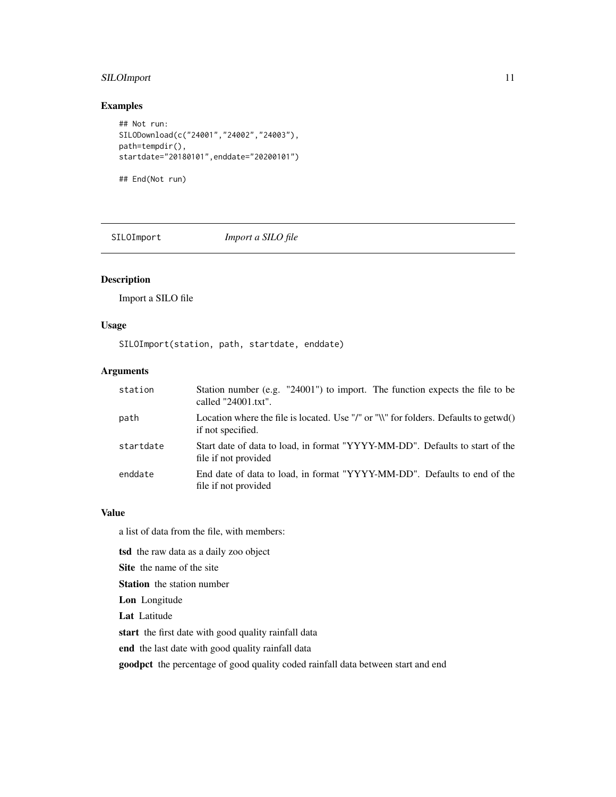## <span id="page-10-0"></span>SILOImport 11

#### Examples

```
## Not run:
SILODownload(c("24001","24002","24003"),
path=tempdir(),
startdate="20180101",enddate="20200101")
```
## End(Not run)

SILOImport *Import a SILO file*

Description

Import a SILO file

#### Usage

SILOImport(station, path, startdate, enddate)

# Arguments

| station   | Station number (e.g. "24001") to import. The function expects the file to be<br>called $"24001.txt"$ .    |
|-----------|-----------------------------------------------------------------------------------------------------------|
| path      | Location where the file is located. Use "/" or "\\" for folders. Defaults to getwd()<br>if not specified. |
| startdate | Start date of data to load, in format "YYYY-MM-DD". Defaults to start of the<br>file if not provided      |
| enddate   | End date of data to load, in format "YYYY-MM-DD". Defaults to end of the<br>file if not provided          |

#### Value

a list of data from the file, with members:

tsd the raw data as a daily zoo object

Site the name of the site

Station the station number

Lon Longitude

Lat Latitude

start the first date with good quality rainfall data

end the last date with good quality rainfall data

goodpct the percentage of good quality coded rainfall data between start and end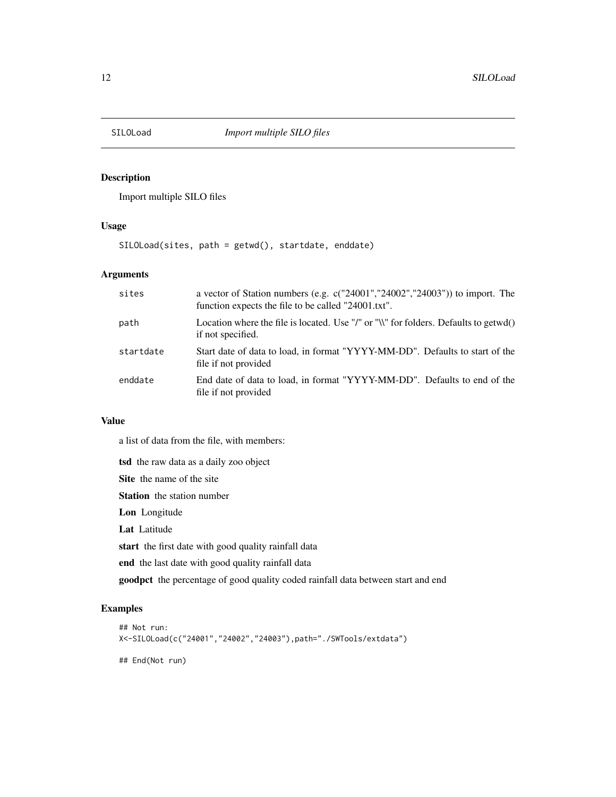<span id="page-11-1"></span><span id="page-11-0"></span>

# Description

Import multiple SILO files

#### Usage

SILOLoad(sites, path = getwd(), startdate, enddate)

#### Arguments

| sites     | a vector of Station numbers (e.g. $c("24001", "24002", "24003"))$ to import. The<br>function expects the file to be called "24001.txt". |
|-----------|-----------------------------------------------------------------------------------------------------------------------------------------|
| path      | Location where the file is located. Use "/" or "\\" for folders. Defaults to getwd()<br>if not specified.                               |
| startdate | Start date of data to load, in format "YYYY-MM-DD". Defaults to start of the<br>file if not provided                                    |
| enddate   | End date of data to load, in format "YYYY-MM-DD". Defaults to end of the<br>file if not provided                                        |

# Value

a list of data from the file, with members:

tsd the raw data as a daily zoo object

Site the name of the site

Station the station number

Lon Longitude

Lat Latitude

start the first date with good quality rainfall data

end the last date with good quality rainfall data

goodpct the percentage of good quality coded rainfall data between start and end

#### Examples

```
## Not run:
X<-SILOLoad(c("24001","24002","24003"),path="./SWTools/extdata")
## End(Not run)
```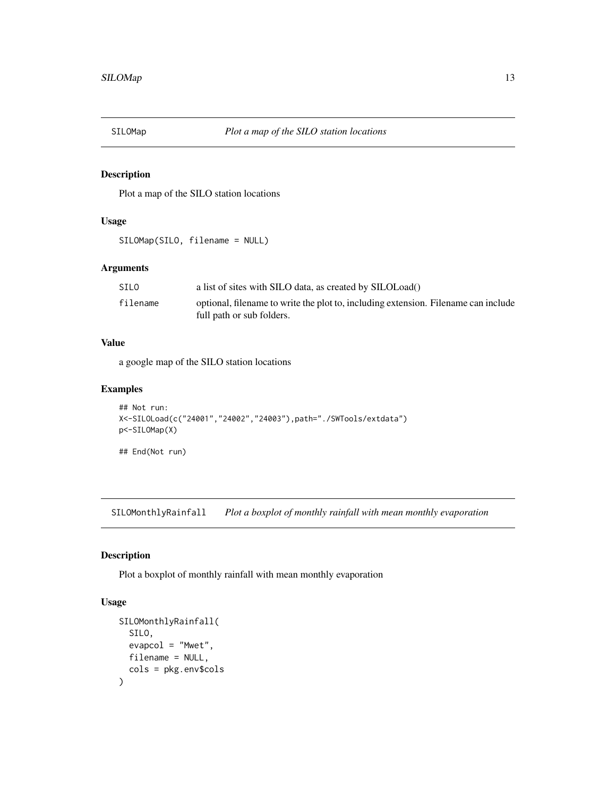<span id="page-12-0"></span>

### Description

Plot a map of the SILO station locations

#### Usage

SILOMap(SILO, filename = NULL)

#### Arguments

| SILO     | a list of sites with SILO data, as created by SILOLoad()                           |
|----------|------------------------------------------------------------------------------------|
| filename | optional, filename to write the plot to, including extension. Filename can include |
|          | full path or sub folders.                                                          |

#### Value

a google map of the SILO station locations

#### Examples

```
## Not run:
X<-SILOLoad(c("24001","24002","24003"),path="./SWTools/extdata")
p<-SILOMap(X)
## End(Not run)
```
SILOMonthlyRainfall *Plot a boxplot of monthly rainfall with mean monthly evaporation*

#### Description

Plot a boxplot of monthly rainfall with mean monthly evaporation

```
SILOMonthlyRainfall(
  SILO,
  evapcol = "Mwet",
  filename = NULL,
  cols = pkg.env$cols
\mathcal{E}
```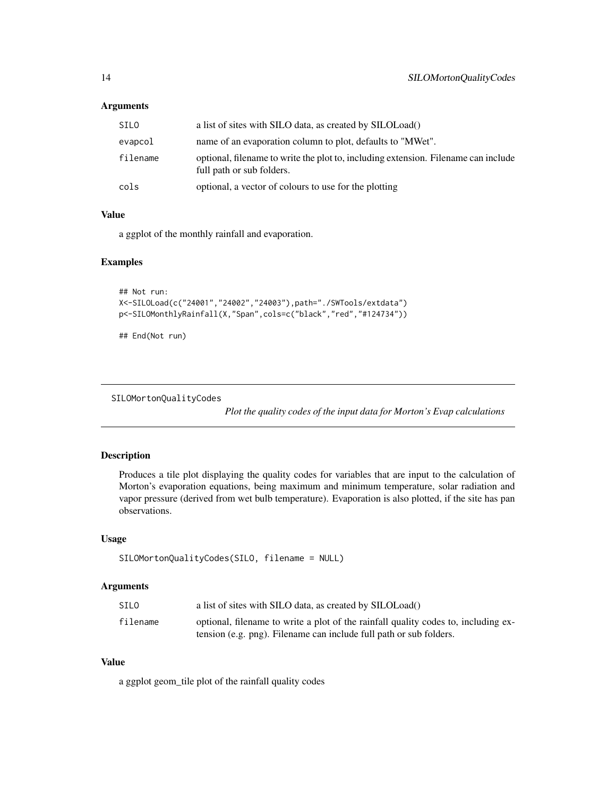## <span id="page-13-0"></span>Arguments

| SILO     | a list of sites with SILO data, as created by SILOLoad()                                                        |
|----------|-----------------------------------------------------------------------------------------------------------------|
| evapcol  | name of an evaporation column to plot, defaults to "MWet".                                                      |
| filename | optional, filename to write the plot to, including extension. Filename can include<br>full path or sub folders. |
| cols     | optional, a vector of colours to use for the plotting                                                           |

#### Value

a ggplot of the monthly rainfall and evaporation.

#### Examples

```
## Not run:
X<-SILOLoad(c("24001","24002","24003"),path="./SWTools/extdata")
p<-SILOMonthlyRainfall(X,"Span",cols=c("black","red","#124734"))
```
## End(Not run)

SILOMortonQualityCodes

*Plot the quality codes of the input data for Morton's Evap calculations*

#### Description

Produces a tile plot displaying the quality codes for variables that are input to the calculation of Morton's evaporation equations, being maximum and minimum temperature, solar radiation and vapor pressure (derived from wet bulb temperature). Evaporation is also plotted, if the site has pan observations.

#### Usage

```
SILOMortonQualityCodes(SILO, filename = NULL)
```
#### Arguments

| SILO     | a list of sites with SILO data, as created by SILOLoad()                           |
|----------|------------------------------------------------------------------------------------|
| filename | optional, filename to write a plot of the rainfall quality codes to, including ex- |
|          | tension (e.g. png). Filename can include full path or sub folders.                 |

#### Value

a ggplot geom\_tile plot of the rainfall quality codes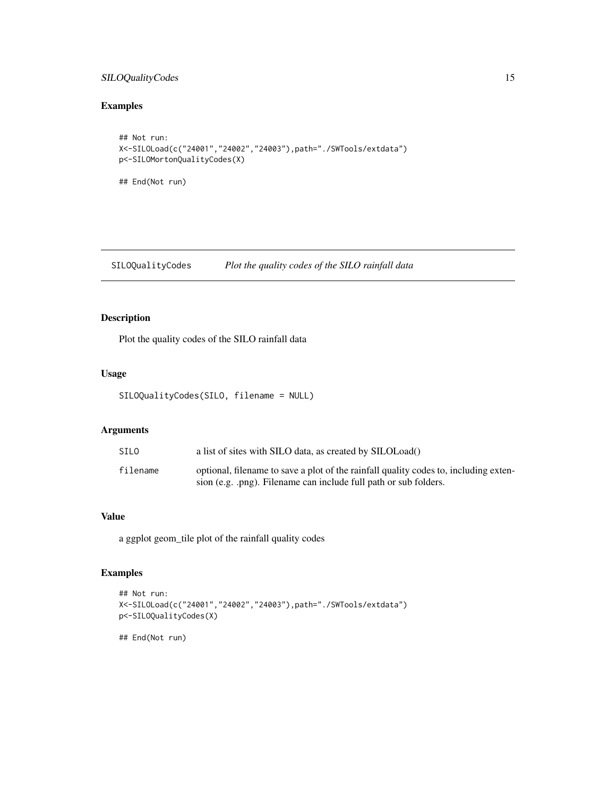#### <span id="page-14-0"></span>SILOQualityCodes 15

# Examples

```
## Not run:
X<-SILOLoad(c("24001","24002","24003"),path="./SWTools/extdata")
p<-SILOMortonQualityCodes(X)
## End(Not run)
```
<span id="page-14-1"></span>SILOQualityCodes *Plot the quality codes of the SILO rainfall data*

# Description

Plot the quality codes of the SILO rainfall data

#### Usage

```
SILOQualityCodes(SILO, filename = NULL)
```
#### Arguments

| SILO     | a list of sites with SILO data, as created by SILOLoad()                                                                                                 |
|----------|----------------------------------------------------------------------------------------------------------------------------------------------------------|
| filename | optional, filename to save a plot of the rainfall quality codes to, including exten-<br>sion (e.g. .png). Filename can include full path or sub folders. |

# Value

a ggplot geom\_tile plot of the rainfall quality codes

# Examples

```
## Not run:
X<-SILOLoad(c("24001","24002","24003"),path="./SWTools/extdata")
p<-SILOQualityCodes(X)
```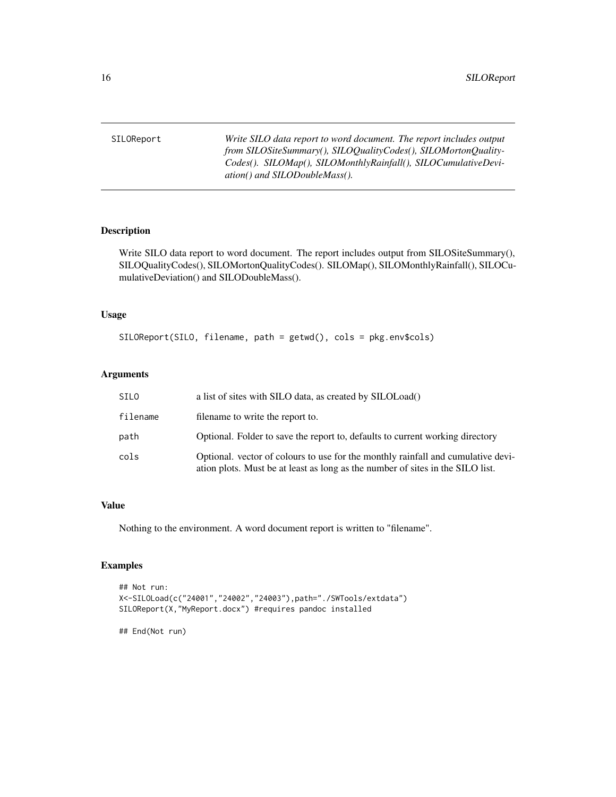<span id="page-15-1"></span><span id="page-15-0"></span>SILOReport *Write SILO data report to word document. The report includes output from SILOSiteSummary(), SILOQualityCodes(), SILOMortonQuality-Codes(). SILOMap(), SILOMonthlyRainfall(), SILOCumulativeDeviation() and SILODoubleMass().*

#### Description

Write SILO data report to word document. The report includes output from SILOSiteSummary(), SILOQualityCodes(), SILOMortonQualityCodes(). SILOMap(), SILOMonthlyRainfall(), SILOCumulativeDeviation() and SILODoubleMass().

#### Usage

SILOReport(SILO, filename, path = getwd(), cols = pkg.env\$cols)

#### Arguments

| SILO     | a list of sites with SILO data, as created by SILOLoad()                                                                                                           |
|----------|--------------------------------------------------------------------------------------------------------------------------------------------------------------------|
| filename | filename to write the report to.                                                                                                                                   |
| path     | Optional. Folder to save the report to, defaults to current working directory                                                                                      |
| cols     | Optional. vector of colours to use for the monthly rainfall and cumulative devi-<br>ation plots. Must be at least as long as the number of sites in the SILO list. |

#### Value

Nothing to the environment. A word document report is written to "filename".

#### Examples

```
## Not run:
X<-SILOLoad(c("24001","24002","24003"),path="./SWTools/extdata")
SILOReport(X,"MyReport.docx") #requires pandoc installed
```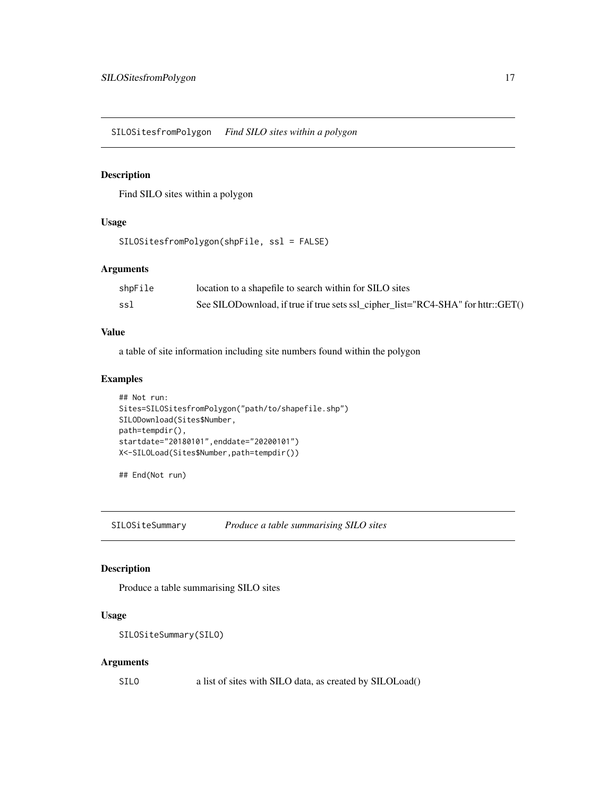<span id="page-16-0"></span>SILOSitesfromPolygon *Find SILO sites within a polygon*

#### Description

Find SILO sites within a polygon

## Usage

```
SILOSitesfromPolygon(shpFile, ssl = FALSE)
```
# Arguments

| shpFile | location to a shapefile to search within for SILO sites                          |
|---------|----------------------------------------------------------------------------------|
| ssl     | See SILODownload, if true if true sets ssl_cipher_list="RC4-SHA" for httr::GET() |

#### Value

a table of site information including site numbers found within the polygon

#### Examples

```
## Not run:
Sites=SILOSitesfromPolygon("path/to/shapefile.shp")
SILODownload(Sites$Number,
path=tempdir(),
startdate="20180101",enddate="20200101")
X<-SILOLoad(Sites$Number,path=tempdir())
```
## End(Not run)

<span id="page-16-1"></span>SILOSiteSummary *Produce a table summarising SILO sites*

#### Description

Produce a table summarising SILO sites

#### Usage

```
SILOSiteSummary(SILO)
```
#### Arguments

SILO a list of sites with SILO data, as created by SILOLoad()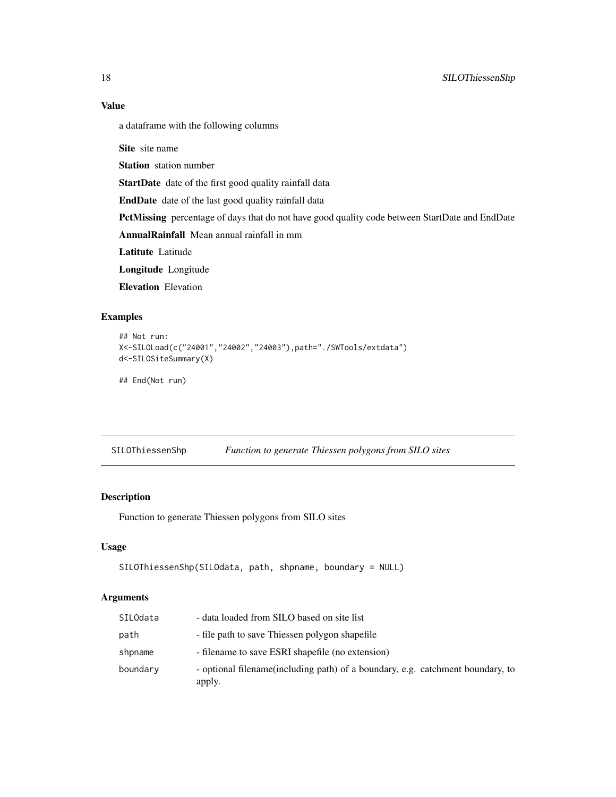# Value

a dataframe with the following columns

Site site name

Station station number

StartDate date of the first good quality rainfall data

EndDate date of the last good quality rainfall data

PctMissing percentage of days that do not have good quality code between StartDate and EndDate

AnnualRainfall Mean annual rainfall in mm

Latitute Latitude

Longitude Longitude

Elevation Elevation

#### Examples

```
## Not run:
X<-SILOLoad(c("24001","24002","24003"),path="./SWTools/extdata")
d<-SILOSiteSummary(X)
## End(Not run)
```

| SILOThiessenShp |  | Function to generate Thiessen polygons from SILO sites |  |  |
|-----------------|--|--------------------------------------------------------|--|--|
|-----------------|--|--------------------------------------------------------|--|--|

## Description

Function to generate Thiessen polygons from SILO sites

#### Usage

```
SILOThiessenShp(SILOdata, path, shpname, boundary = NULL)
```
#### Arguments

| SILOdata | - data loaded from SILO based on site list                                                |
|----------|-------------------------------------------------------------------------------------------|
| path     | - file path to save Thiessen polygon shapefile                                            |
| shpname  | - filename to save ESRI shapefile (no extension)                                          |
| boundary | - optional filename (including path) of a boundary, e.g. catchment boundary, to<br>apply. |

<span id="page-17-0"></span>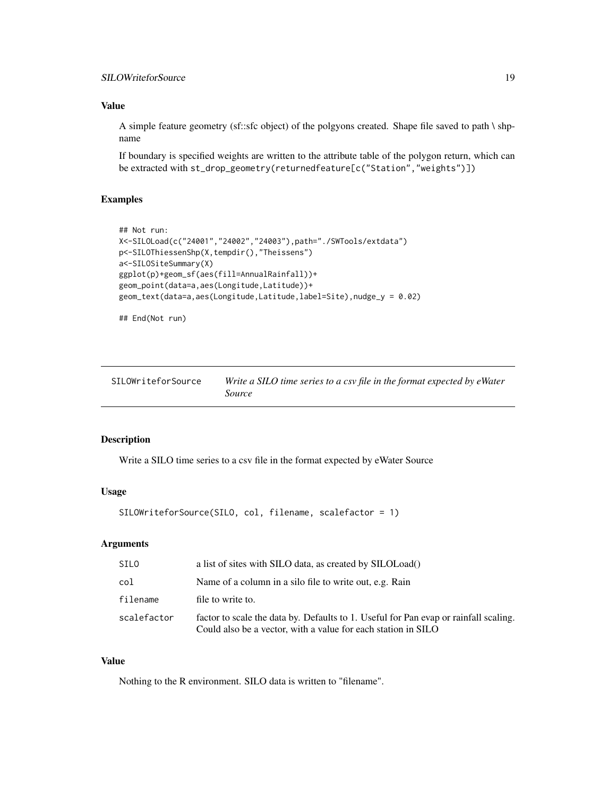#### <span id="page-18-0"></span>SILOWriteforSource 19

# Value

A simple feature geometry (sf::sfc object) of the polgyons created. Shape file saved to path \ shpname

If boundary is specified weights are written to the attribute table of the polygon return, which can be extracted with st\_drop\_geometry(returnedfeature[c("Station","weights")])

# Examples

```
## Not run:
X<-SILOLoad(c("24001","24002","24003"),path="./SWTools/extdata")
p<-SILOThiessenShp(X,tempdir(),"Theissens")
a<-SILOSiteSummary(X)
ggplot(p)+geom_sf(aes(fill=AnnualRainfall))+
geom_point(data=a,aes(Longitude,Latitude))+
geom_text(data=a,aes(Longitude,Latitude,label=Site),nudge_y = 0.02)
```
## End(Not run)

<span id="page-18-1"></span>

| SILOWriteforSource | Write a SILO time series to a csv file in the format expected by eWater |
|--------------------|-------------------------------------------------------------------------|
|                    | Source                                                                  |

#### Description

Write a SILO time series to a csv file in the format expected by eWater Source

# Usage

```
SILOWriteforSource(SILO, col, filename, scalefactor = 1)
```
#### Arguments

| SILO        | a list of sites with SILO data, as created by SILOLoad()                                                                                              |
|-------------|-------------------------------------------------------------------------------------------------------------------------------------------------------|
| col         | Name of a column in a silo file to write out, e.g. Rain                                                                                               |
| filename    | file to write to.                                                                                                                                     |
| scalefactor | factor to scale the data by. Defaults to 1. Useful for Pan evap or rainfall scaling.<br>Could also be a vector, with a value for each station in SILO |

#### Value

Nothing to the R environment. SILO data is written to "filename".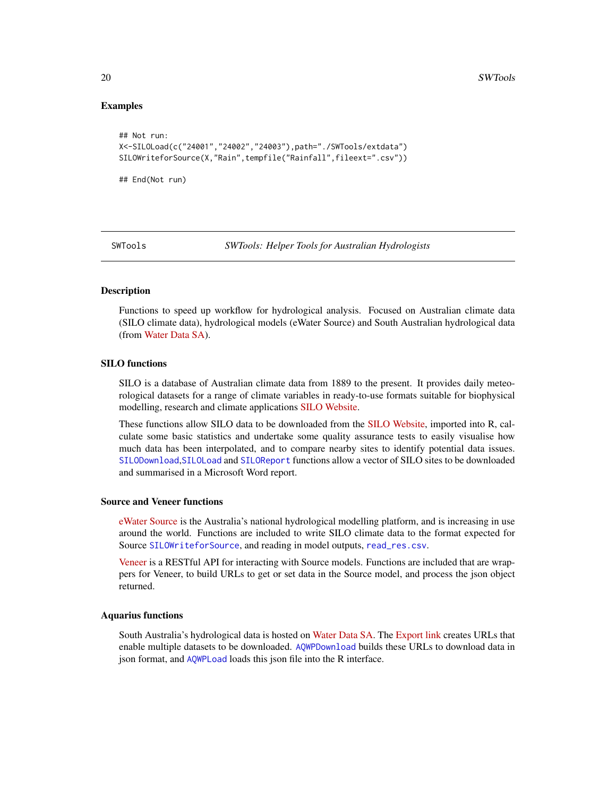#### Examples

```
## Not run:
X<-SILOLoad(c("24001","24002","24003"),path="./SWTools/extdata")
SILOWriteforSource(X,"Rain",tempfile("Rainfall",fileext=".csv"))
```
## End(Not run)

SWTools *SWTools: Helper Tools for Australian Hydrologists*

#### Description

Functions to speed up workflow for hydrological analysis. Focused on Australian climate data (SILO climate data), hydrological models (eWater Source) and South Australian hydrological data (from [Water Data SA\)](https://water.data.sa.gov.au).

#### SILO functions

SILO is a database of Australian climate data from 1889 to the present. It provides daily meteorological datasets for a range of climate variables in ready-to-use formats suitable for biophysical modelling, research and climate applications [SILO Website.](https://www.longpaddock.qld.gov.au/silo/)

These functions allow SILO data to be downloaded from the [SILO Website,](https://www.longpaddock.qld.gov.au/silo/) imported into R, calculate some basic statistics and undertake some quality assurance tests to easily visualise how much data has been interpolated, and to compare nearby sites to identify potential data issues. [SILODownload](#page-9-1),[SILOLoad](#page-11-1) and [SILOReport](#page-15-1) functions allow a vector of SILO sites to be downloaded and summarised in a Microsoft Word report.

#### Source and Veneer functions

[eWater Source](https://ewater.org.au/products/ewater-source/) is the Australia's national hydrological modelling platform, and is increasing in use around the world. Functions are included to write SILO climate data to the format expected for Source [SILOWriteforSource](#page-18-1), and reading in model outputs, [read\\_res.csv](#page-3-1).

[Veneer](https://www.flowmatters.com.au/articles/introducing_veneer.html) is a RESTful API for interacting with Source models. Functions are included that are wrappers for Veneer, to build URLs to get or set data in the Source model, and process the json object returned.

#### Aquarius functions

South Australia's hydrological data is hosted on [Water Data SA.](https://water.data.sa.gov.au) The [Export link](https://water.data.sa.gov.au/Data/Export) creates URLs that enable multiple datasets to be downloaded. [AQWPDownload](#page-1-1) builds these URLs to download data in json format, and [AQWPLoad](#page-3-2) loads this json file into the R interface.

<span id="page-19-0"></span>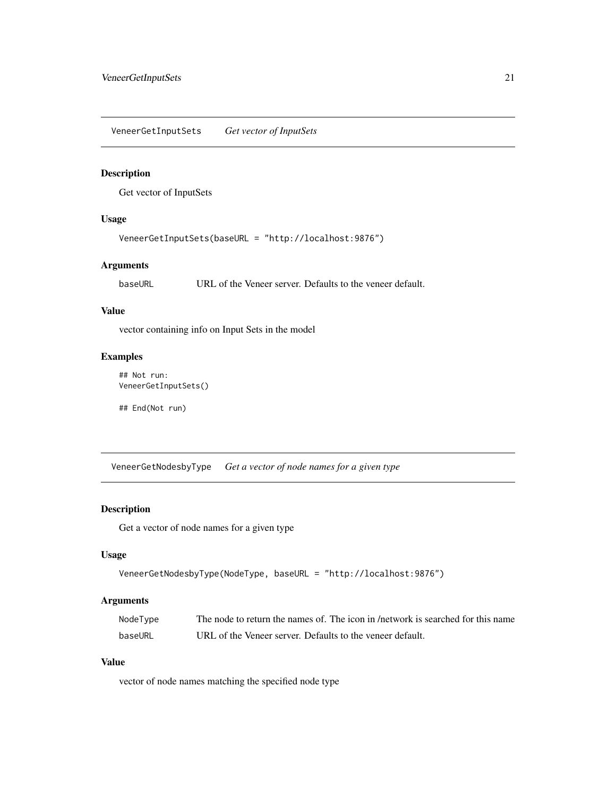<span id="page-20-0"></span>VeneerGetInputSets *Get vector of InputSets*

#### Description

Get vector of InputSets

#### Usage

VeneerGetInputSets(baseURL = "http://localhost:9876")

#### Arguments

baseURL URL of the Veneer server. Defaults to the veneer default.

#### Value

vector containing info on Input Sets in the model

#### Examples

## Not run: VeneerGetInputSets()

## End(Not run)

VeneerGetNodesbyType *Get a vector of node names for a given type*

## Description

Get a vector of node names for a given type

#### Usage

```
VeneerGetNodesbyType(NodeType, baseURL = "http://localhost:9876")
```
#### Arguments

| NodeType | The node to return the names of. The icon in /network is searched for this name |
|----------|---------------------------------------------------------------------------------|
| baseURL  | URL of the Veneer server. Defaults to the veneer default.                       |

#### Value

vector of node names matching the specified node type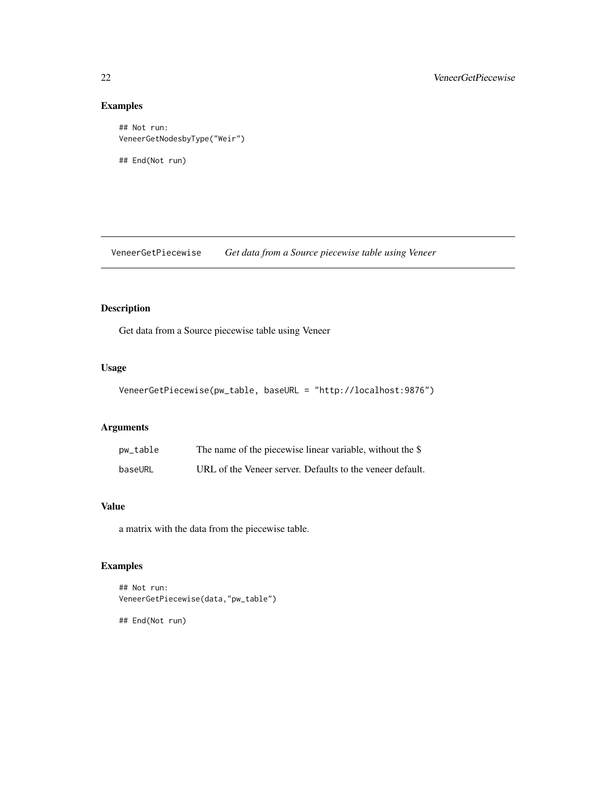# Examples

```
## Not run:
VeneerGetNodesbyType("Weir")
```
## End(Not run)

VeneerGetPiecewise *Get data from a Source piecewise table using Veneer*

# Description

Get data from a Source piecewise table using Veneer

#### Usage

```
VeneerGetPiecewise(pw_table, baseURL = "http://localhost:9876")
```
# Arguments

| pw_table | The name of the piecewise linear variable, without the \$ |
|----------|-----------------------------------------------------------|
| baseURL  | URL of the Veneer server. Defaults to the veneer default. |

#### Value

a matrix with the data from the piecewise table.

#### Examples

```
## Not run:
VeneerGetPiecewise(data,"pw_table")
```
<span id="page-21-0"></span>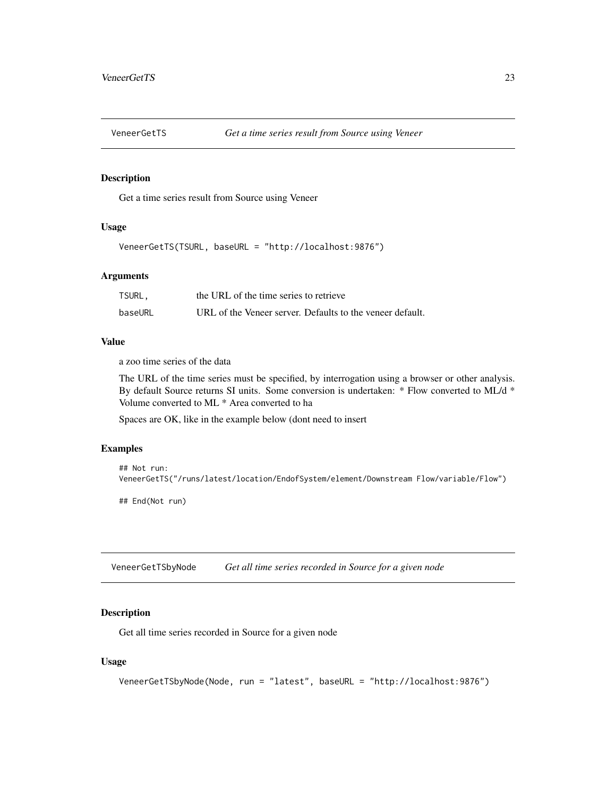<span id="page-22-0"></span>

#### Description

Get a time series result from Source using Veneer

#### Usage

VeneerGetTS(TSURL, baseURL = "http://localhost:9876")

#### Arguments

| TSURL,  | the URL of the time series to retrieve                    |
|---------|-----------------------------------------------------------|
| baseURL | URL of the Veneer server. Defaults to the veneer default. |

#### Value

a zoo time series of the data

The URL of the time series must be specified, by interrogation using a browser or other analysis. By default Source returns SI units. Some conversion is undertaken: \* Flow converted to ML/d \* Volume converted to ML \* Area converted to ha

Spaces are OK, like in the example below (dont need to insert

#### Examples

```
## Not run:
VeneerGetTS("/runs/latest/location/EndofSystem/element/Downstream Flow/variable/Flow")
```
## End(Not run)

VeneerGetTSbyNode *Get all time series recorded in Source for a given node*

#### Description

Get all time series recorded in Source for a given node

```
VeneerGetTSbyNode(Node, run = "latest", baseURL = "http://localhost:9876")
```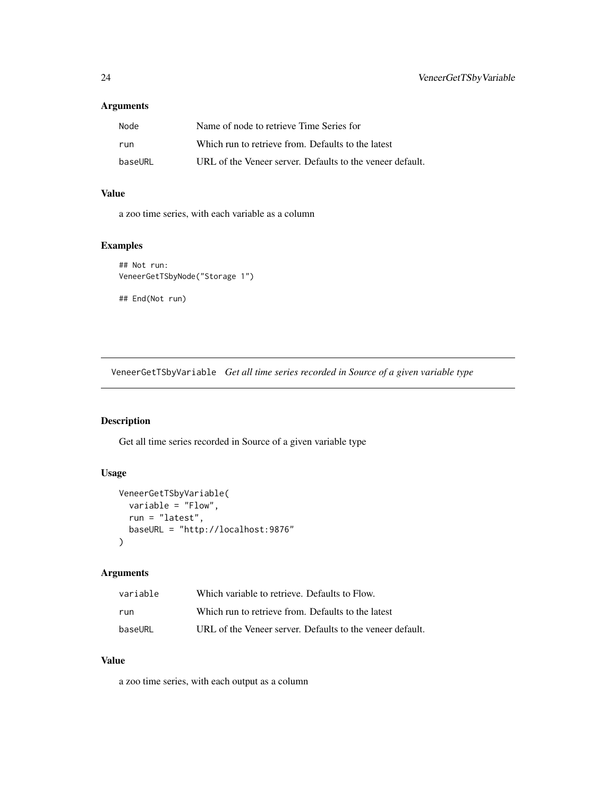#### <span id="page-23-0"></span>Arguments

| Node    | Name of node to retrieve Time Series for                  |
|---------|-----------------------------------------------------------|
| run     | Which run to retrieve from. Defaults to the latest        |
| baseURL | URL of the Veneer server. Defaults to the veneer default. |

# Value

a zoo time series, with each variable as a column

#### Examples

```
## Not run:
VeneerGetTSbyNode("Storage 1")
## End(Not run)
```
VeneerGetTSbyVariable *Get all time series recorded in Source of a given variable type*

# Description

Get all time series recorded in Source of a given variable type

#### Usage

```
VeneerGetTSbyVariable(
  variable = "Flow",
  run = "latest",
  baseURL = "http://localhost:9876"
\mathcal{L}
```
#### Arguments

| variable | Which variable to retrieve. Defaults to Flow.             |
|----------|-----------------------------------------------------------|
| run      | Which run to retrieve from. Defaults to the latest        |
| baseURL  | URL of the Veneer server. Defaults to the veneer default. |

#### Value

a zoo time series, with each output as a column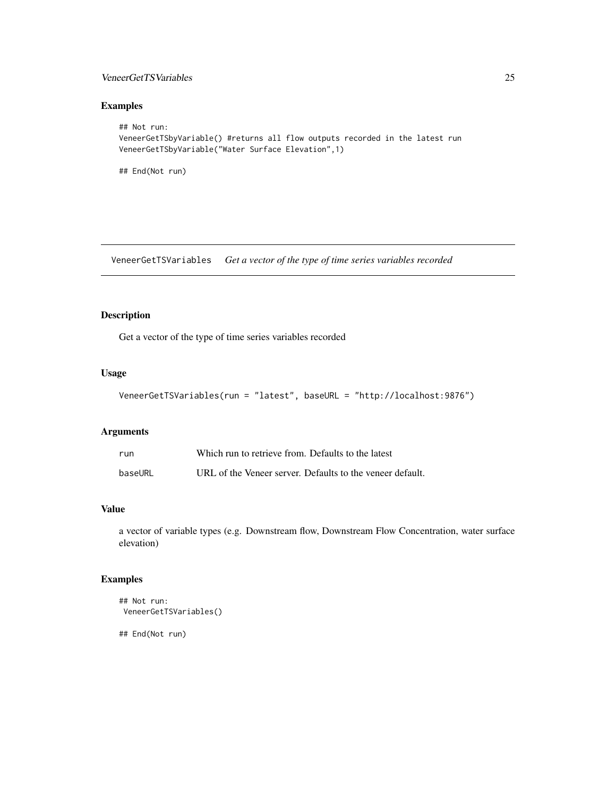#### <span id="page-24-0"></span>VeneerGetTSVariables 25

# Examples

```
## Not run:
VeneerGetTSbyVariable() #returns all flow outputs recorded in the latest run
VeneerGetTSbyVariable("Water Surface Elevation",1)
```
## End(Not run)

VeneerGetTSVariables *Get a vector of the type of time series variables recorded*

# Description

Get a vector of the type of time series variables recorded

#### Usage

```
VeneerGetTSVariables(run = "latest", baseURL = "http://localhost:9876")
```
# Arguments

| run     | Which run to retrieve from. Defaults to the latest        |
|---------|-----------------------------------------------------------|
| baseURL | URL of the Veneer server. Defaults to the veneer default. |

# Value

a vector of variable types (e.g. Downstream flow, Downstream Flow Concentration, water surface elevation)

#### Examples

```
## Not run:
VeneerGetTSVariables()
```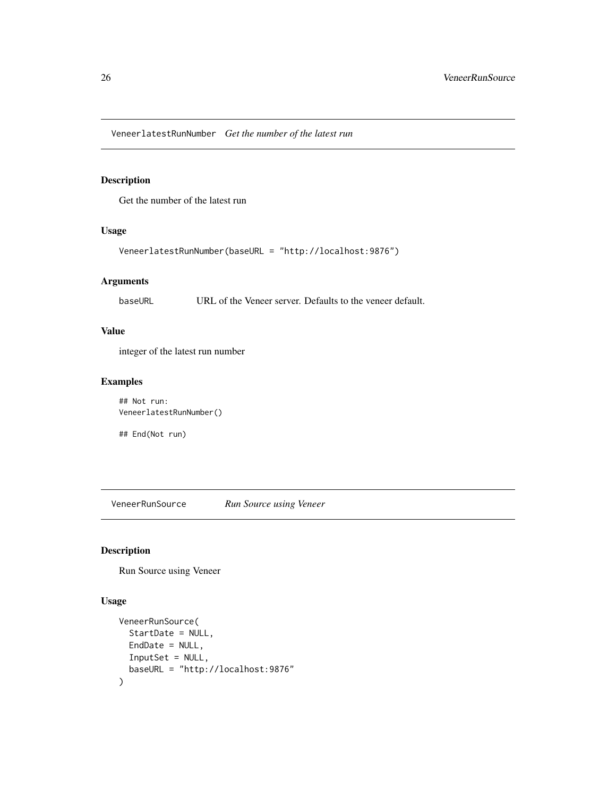<span id="page-25-0"></span>VeneerlatestRunNumber *Get the number of the latest run*

#### Description

Get the number of the latest run

#### Usage

```
VeneerlatestRunNumber(baseURL = "http://localhost:9876")
```
#### Arguments

baseURL URL of the Veneer server. Defaults to the veneer default.

#### Value

integer of the latest run number

# Examples

## Not run: VeneerlatestRunNumber()

## End(Not run)

VeneerRunSource *Run Source using Veneer*

#### Description

Run Source using Veneer

```
VeneerRunSource(
  StartDate = NULL,
  EndDate = NULL,
  InputSet = NULL,
  baseURL = "http://localhost:9876"
\mathcal{L}
```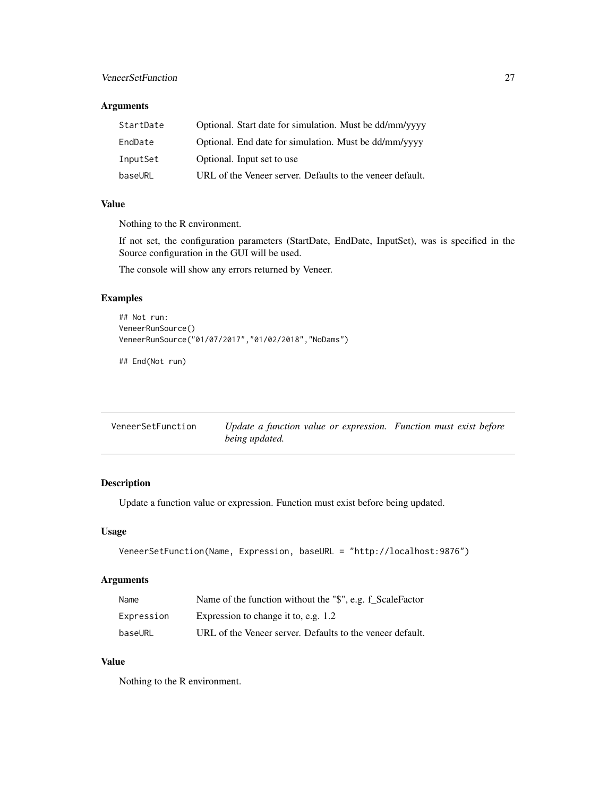#### <span id="page-26-0"></span>VeneerSetFunction 27

#### Arguments

| StartDate | Optional. Start date for simulation. Must be dd/mm/yyyy   |
|-----------|-----------------------------------------------------------|
| EndDate   | Optional. End date for simulation. Must be dd/mm/yyyy     |
| InputSet  | Optional. Input set to use                                |
| baseURL   | URL of the Veneer server. Defaults to the veneer default. |

#### Value

Nothing to the R environment.

If not set, the configuration parameters (StartDate, EndDate, InputSet), was is specified in the Source configuration in the GUI will be used.

The console will show any errors returned by Veneer.

#### Examples

```
## Not run:
VeneerRunSource()
VeneerRunSource("01/07/2017","01/02/2018","NoDams")
```
## End(Not run)

| VeneerSetFunction | Update a function value or expression. Function must exist before |  |
|-------------------|-------------------------------------------------------------------|--|
|                   | being updated.                                                    |  |

#### Description

Update a function value or expression. Function must exist before being updated.

#### Usage

```
VeneerSetFunction(Name, Expression, baseURL = "http://localhost:9876")
```
#### Arguments

| Name       | Name of the function without the "\$", e.g. f_ScaleFactor |
|------------|-----------------------------------------------------------|
| Expression | Expression to change it to, e.g. 1.2                      |
| baseURL    | URL of the Veneer server. Defaults to the veneer default. |

#### Value

Nothing to the R environment.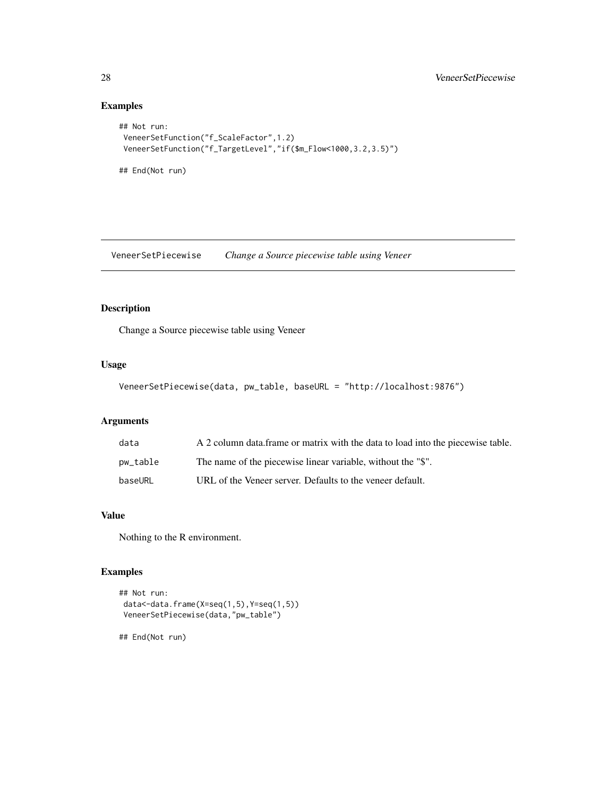# Examples

```
## Not run:
VeneerSetFunction("f_ScaleFactor",1.2)
VeneerSetFunction("f_TargetLevel","if($m_Flow<1000,3.2,3.5)")
## End(Not run)
```
VeneerSetPiecewise *Change a Source piecewise table using Veneer*

### Description

Change a Source piecewise table using Veneer

# Usage

```
VeneerSetPiecewise(data, pw_table, baseURL = "http://localhost:9876")
```
# Arguments

| data     | A 2 column data frame or matrix with the data to load into the piecewise table. |
|----------|---------------------------------------------------------------------------------|
| pw_table | The name of the piecewise linear variable, without the "\$".                    |
| baseURL  | URL of the Veneer server. Defaults to the veneer default.                       |

# Value

Nothing to the R environment.

#### Examples

```
## Not run:
data<-data.frame(X=seq(1,5),Y=seq(1,5))
VeneerSetPiecewise(data,"pw_table")
```
<span id="page-27-0"></span>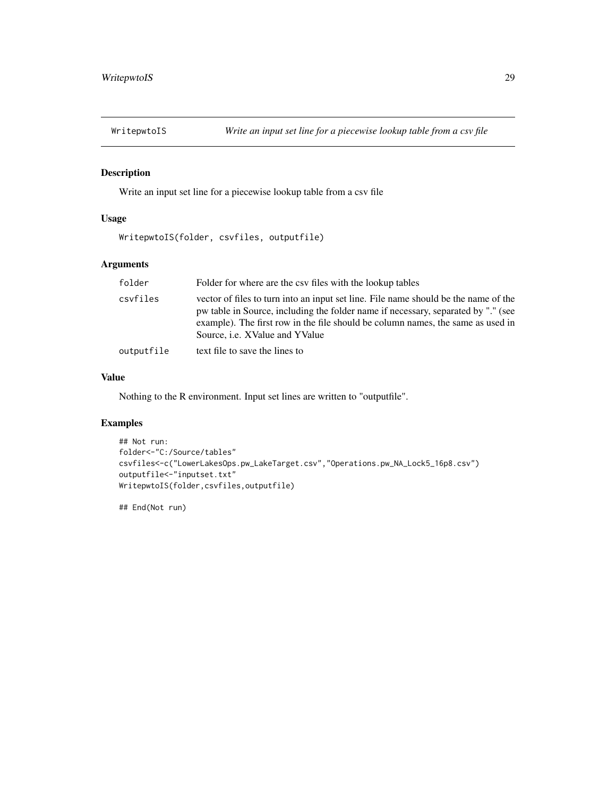<span id="page-28-0"></span>

#### Description

Write an input set line for a piecewise lookup table from a csv file

#### Usage

```
WritepwtoIS(folder, csvfiles, outputfile)
```
#### Arguments

| folder     | Folder for where are the csy files with the lookup tables                                                                                                                                                                                                                                            |
|------------|------------------------------------------------------------------------------------------------------------------------------------------------------------------------------------------------------------------------------------------------------------------------------------------------------|
| csyfiles   | vector of files to turn into an input set line. File name should be the name of the<br>pw table in Source, including the folder name if necessary, separated by "." (see<br>example). The first row in the file should be column names, the same as used in<br>Source, <i>i.e.</i> XValue and YValue |
| outputfile | text file to save the lines to                                                                                                                                                                                                                                                                       |

#### Value

Nothing to the R environment. Input set lines are written to "outputfile".

#### Examples

```
## Not run:
folder<-"C:/Source/tables"
csvfiles<-c("LowerLakesOps.pw_LakeTarget.csv","Operations.pw_NA_Lock5_16p8.csv")
outputfile<-"inputset.txt"
WritepwtoIS(folder,csvfiles,outputfile)
```